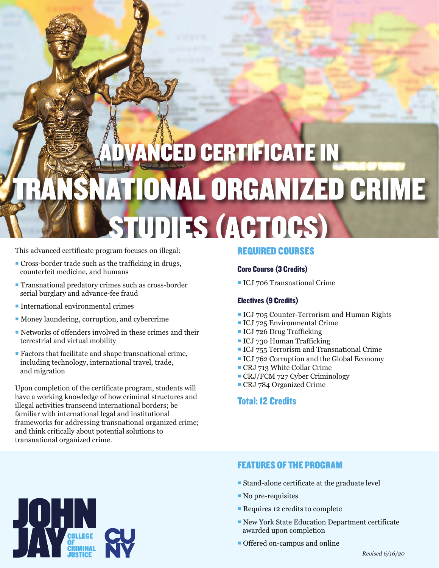## **NCED CERTIFICATE IN** SNATIONAL ORGANIZED CRIME STUDIES (ACTOCS)

This advanced certificate program focuses on illegal:

- Cross-border trade such as the trafficking in drugs, counterfeit medicine, and humans
- **Transnational predatory crimes such as cross-border** serial burglary and advance-fee fraud
- $\blacksquare$  International environmental crimes
- Money laundering, corruption, and cybercrime
- Networks of offenders involved in these crimes and their terrestrial and virtual mobility
- Factors that facilitate and shape transnational crime, including technology, international travel, trade, and migration

Upon completion of the certificate program, students will have a working knowledge of how criminal structures and illegal activities transcend international borders; be familiar with international legal and institutional frameworks for addressing transnational organized crime; and think critically about potential solutions to transnational organized crime.

#### REQUIRED COURSES

#### Core Course (3 Credits)

ICJ 706 Transnational Crime

#### Electives (9 Credits)

- **ICJ 705 Counter-Terrorism and Human Rights**
- ICJ 725 Environmental Crime
- ICJ 726 Drug Trafficking
- **ICJ 730 Human Trafficking**
- **ICJ 755 Terrorism and Transnational Crime**
- ICJ 762 Corruption and the Global Economy
- CRJ 713 White Collar Crime
- CRJ/FCM 727 Cyber Criminology
- CRJ 784 Organized Crime

### Total: 12 Credits



#### FEATURES OF THE PROGRAM

- Stand-alone certificate at the graduate level
- No pre-requisites
- Requires 12 credits to complete
- New York State Education Department certificate awarded upon completion
- Offered on-campus and online